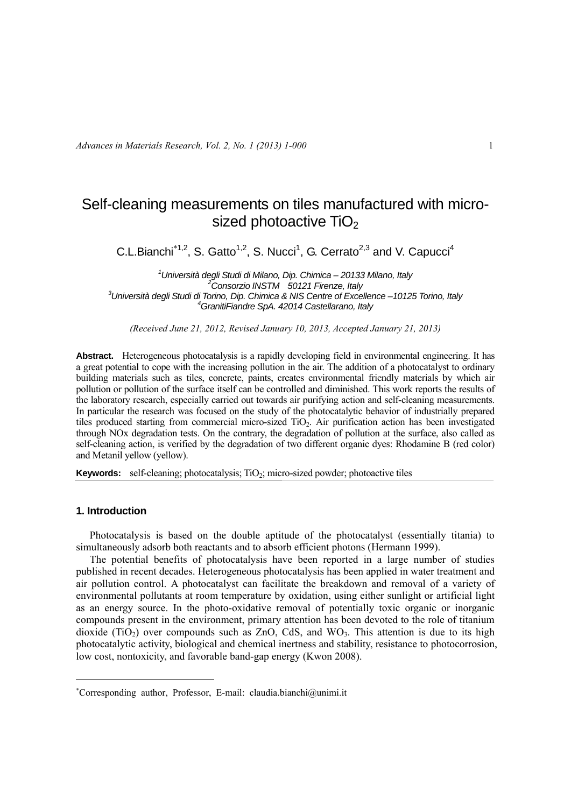# Self-cleaning measurements on tiles manufactured with microsized photoactive TiO<sub>2</sub>

C.L.Bianchi<sup>\*1,2</sup>, S. Gatto<sup>1,2</sup>, S. Nucci<sup>1</sup>, G. Cerrato<sup>2,3</sup> and V. Capucci<sup>4</sup>

*1 Università degli Studi di Milano, Dip. Chimica – 20133 Milano, Italy 2 Consorzio INSTM 50121 Firenze, Italy 3 Università degli Studi di Torino, Dip. Chimica & NIS Centre of Excellence –10125 Torino, Italy 4 GranitiFiandre SpA. 42014 Castellarano, Italy* 

*(Received June 21, 2012, Revised January 10, 2013, Accepted January 21, 2013)* 

Abstract. Heterogeneous photocatalysis is a rapidly developing field in environmental engineering. It has a great potential to cope with the increasing pollution in the air. The addition of a photocatalyst to ordinary building materials such as tiles, concrete, paints, creates environmental friendly materials by which air pollution or pollution of the surface itself can be controlled and diminished. This work reports the results of the laboratory research, especially carried out towards air purifying action and self-cleaning measurements. In particular the research was focused on the study of the photocatalytic behavior of industrially prepared tiles produced starting from commercial micro-sized TiO2. Air purification action has been investigated through NOx degradation tests. On the contrary, the degradation of pollution at the surface, also called as self-cleaning action, is verified by the degradation of two different organic dyes: Rhodamine B (red color) and Metanil yellow (yellow).

**Keywords:** self-cleaning; photocatalysis; TiO<sub>2</sub>; micro-sized powder; photoactive tiles

# **1. Introduction**

1

Photocatalysis is based on the double aptitude of the photocatalyst (essentially titania) to simultaneously adsorb both reactants and to absorb efficient photons (Hermann 1999).

The potential benefits of photocatalysis have been reported in a large number of studies published in recent decades. Heterogeneous photocatalysis has been applied in water treatment and air pollution control. A photocatalyst can facilitate the breakdown and removal of a variety of environmental pollutants at room temperature by oxidation, using either sunlight or artificial light as an energy source. In the photo-oxidative removal of potentially toxic organic or inorganic compounds present in the environment, primary attention has been devoted to the role of titanium dioxide (TiO<sub>2</sub>) over compounds such as ZnO, CdS, and WO<sub>3</sub>. This attention is due to its high photocatalytic activity, biological and chemical inertness and stability, resistance to photocorrosion, low cost, nontoxicity, and favorable band-gap energy (Kwon 2008).

Corresponding author, Professor, E-mail: claudia.bianchi@unimi.it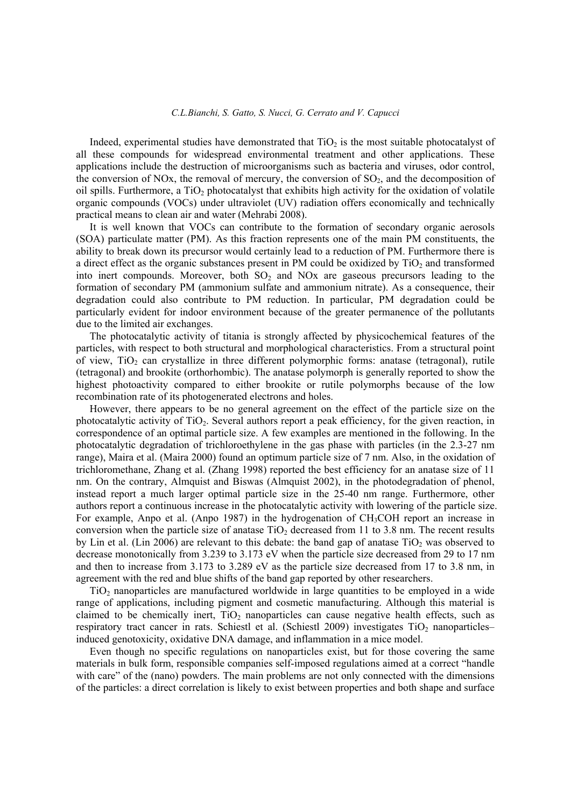Indeed, experimental studies have demonstrated that  $TiO<sub>2</sub>$  is the most suitable photocatalyst of all these compounds for widespread environmental treatment and other applications. These applications include the destruction of microorganisms such as bacteria and viruses, odor control, the conversion of NOx, the removal of mercury, the conversion of  $SO<sub>2</sub>$ , and the decomposition of oil spills. Furthermore, a  $TiO<sub>2</sub>$  photocatalyst that exhibits high activity for the oxidation of volatile organic compounds (VOCs) under ultraviolet (UV) radiation offers economically and technically practical means to clean air and water (Mehrabi 2008).

It is well known that VOCs can contribute to the formation of secondary organic aerosols (SOA) particulate matter (PM). As this fraction represents one of the main PM constituents, the ability to break down its precursor would certainly lead to a reduction of PM. Furthermore there is a direct effect as the organic substances present in PM could be oxidized by  $TiO<sub>2</sub>$  and transformed into inert compounds. Moreover, both  $SO<sub>2</sub>$  and NOx are gaseous precursors leading to the formation of secondary PM (ammonium sulfate and ammonium nitrate). As a consequence, their degradation could also contribute to PM reduction. In particular, PM degradation could be particularly evident for indoor environment because of the greater permanence of the pollutants due to the limited air exchanges.

The photocatalytic activity of titania is strongly affected by physicochemical features of the particles, with respect to both structural and morphological characteristics. From a structural point of view,  $TiO<sub>2</sub>$  can crystallize in three different polymorphic forms: anatase (tetragonal), rutile (tetragonal) and brookite (orthorhombic). The anatase polymorph is generally reported to show the highest photoactivity compared to either brookite or rutile polymorphs because of the low recombination rate of its photogenerated electrons and holes.

However, there appears to be no general agreement on the effect of the particle size on the photocatalytic activity of  $TiO<sub>2</sub>$ . Several authors report a peak efficiency, for the given reaction, in correspondence of an optimal particle size. A few examples are mentioned in the following. In the photocatalytic degradation of trichloroethylene in the gas phase with particles (in the 2.3-27 nm range), Maira et al. (Maira 2000) found an optimum particle size of 7 nm. Also, in the oxidation of trichloromethane, Zhang et al. (Zhang 1998) reported the best efficiency for an anatase size of 11 nm. On the contrary, Almquist and Biswas (Almquist 2002), in the photodegradation of phenol, instead report a much larger optimal particle size in the 25-40 nm range. Furthermore, other authors report a continuous increase in the photocatalytic activity with lowering of the particle size. For example, Anpo et al. (Anpo 1987) in the hydrogenation of CH<sub>3</sub>COH report an increase in conversion when the particle size of anatase  $TiO<sub>2</sub>$  decreased from 11 to 3.8 nm. The recent results by Lin et al. (Lin 2006) are relevant to this debate: the band gap of anatase  $TiO<sub>2</sub>$  was observed to decrease monotonically from 3.239 to 3.173 eV when the particle size decreased from 29 to 17 nm and then to increase from 3.173 to 3.289 eV as the particle size decreased from 17 to 3.8 nm, in agreement with the red and blue shifts of the band gap reported by other researchers.

TiO2 nanoparticles are manufactured worldwide in large quantities to be employed in a wide range of applications, including pigment and cosmetic manufacturing. Although this material is claimed to be chemically inert,  $TiO<sub>2</sub>$  nanoparticles can cause negative health effects, such as respiratory tract cancer in rats. Schiestl et al. (Schiestl 2009) investigates  $TiO<sub>2</sub>$  nanoparticles– induced genotoxicity, oxidative DNA damage, and inflammation in a mice model.

Even though no specific regulations on nanoparticles exist, but for those covering the same materials in bulk form, responsible companies self-imposed regulations aimed at a correct "handle with care" of the (nano) powders. The main problems are not only connected with the dimensions of the particles: a direct correlation is likely to exist between properties and both shape and surface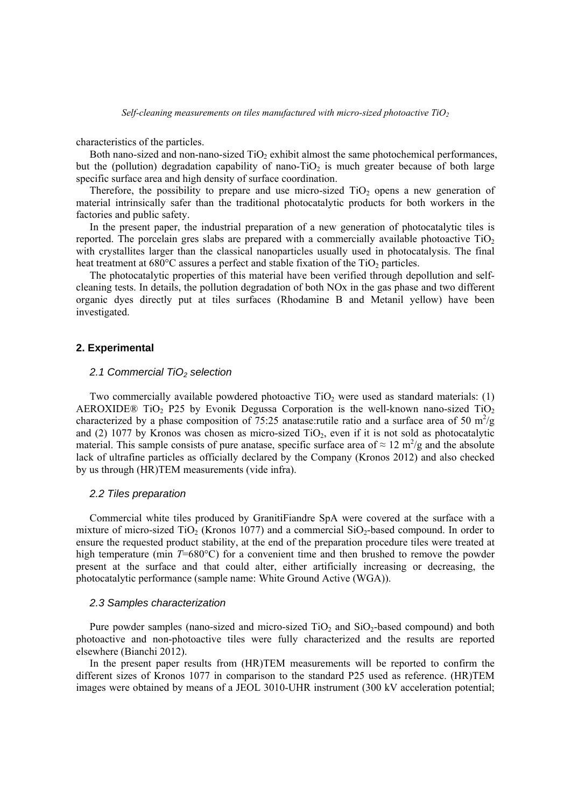characteristics of the particles.

Both nano-sized and non-nano-sized  $TiO<sub>2</sub>$  exhibit almost the same photochemical performances, but the (pollution) degradation capability of nano-TiO<sub>2</sub> is much greater because of both large specific surface area and high density of surface coordination.

Therefore, the possibility to prepare and use micro-sized  $TiO<sub>2</sub>$  opens a new generation of material intrinsically safer than the traditional photocatalytic products for both workers in the factories and public safety.

In the present paper, the industrial preparation of a new generation of photocatalytic tiles is reported. The porcelain gres slabs are prepared with a commercially available photoactive  $TiO<sub>2</sub>$ with crystallites larger than the classical nanoparticles usually used in photocatalysis. The final heat treatment at  $680^{\circ}$ C assures a perfect and stable fixation of the TiO<sub>2</sub> particles.

The photocatalytic properties of this material have been verified through depollution and selfcleaning tests. In details, the pollution degradation of both NOx in the gas phase and two different organic dyes directly put at tiles surfaces (Rhodamine B and Metanil yellow) have been investigated.

#### **2. Experimental**

#### 2.1 Commercial TiO<sub>2</sub> selection

Two commercially available powdered photoactive  $TiO<sub>2</sub>$  were used as standard materials: (1) AEROXIDE® TiO<sub>2</sub> P25 by Evonik Degussa Corporation is the well-known nano-sized TiO<sub>2</sub> characterized by a phase composition of 75:25 anatase: rutile ratio and a surface area of 50  $m^2/g$ and (2) 1077 by Kronos was chosen as micro-sized  $TiO<sub>2</sub>$ , even if it is not sold as photocatalytic material. This sample consists of pure anatase, specific surface area of  $\approx 12 \text{ m}^2/\text{g}$  and the absolute lack of ultrafine particles as officially declared by the Company (Kronos 2012) and also checked by us through (HR)TEM measurements (vide infra).

#### *2.2 Tiles preparation*

Commercial white tiles produced by GranitiFiandre SpA were covered at the surface with a mixture of micro-sized TiO<sub>2</sub> (Kronos 1077) and a commercial  $SiO<sub>2</sub>$ -based compound. In order to ensure the requested product stability, at the end of the preparation procedure tiles were treated at high temperature (min *T*=680°C) for a convenient time and then brushed to remove the powder present at the surface and that could alter, either artificially increasing or decreasing, the photocatalytic performance (sample name: White Ground Active (WGA)).

## *2.3 Samples characterization*

Pure powder samples (nano-sized and micro-sized  $TiO<sub>2</sub>$  and  $SiO<sub>2</sub>$ -based compound) and both photoactive and non-photoactive tiles were fully characterized and the results are reported elsewhere (Bianchi 2012).

In the present paper results from (HR)TEM measurements will be reported to confirm the different sizes of Kronos 1077 in comparison to the standard P25 used as reference. (HR)TEM images were obtained by means of a JEOL 3010-UHR instrument (300 kV acceleration potential;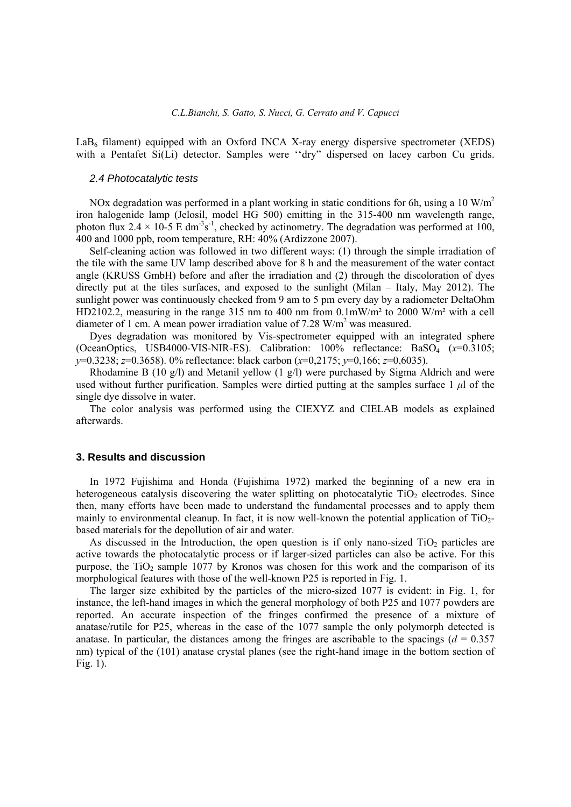$LaB<sub>6</sub>$  filament) equipped with an Oxford INCA X-ray energy dispersive spectrometer (XEDS) with a Pentafet Si(Li) detector. Samples were "dry" dispersed on lacey carbon Cu grids.

### *2.4 Photocatalytic tests*

NOx degradation was performed in a plant working in static conditions for 6h, using a 10 W/m<sup>2</sup> iron halogenide lamp (Jelosil, model HG 500) emitting in the 315-400 nm wavelength range, photon flux 2.4  $\times$  10-5 E dm<sup>-3</sup>s<sup>-1</sup>, checked by actinometry. The degradation was performed at 100, 400 and 1000 ppb, room temperature, RH: 40% (Ardizzone 2007).

Self-cleaning action was followed in two different ways: (1) through the simple irradiation of the tile with the same UV lamp described above for 8 h and the measurement of the water contact angle (KRUSS GmbH) before and after the irradiation and (2) through the discoloration of dyes directly put at the tiles surfaces, and exposed to the sunlight (Milan – Italy, May 2012). The sunlight power was continuously checked from 9 am to 5 pm every day by a radiometer DeltaOhm HD2102.2, measuring in the range 315 nm to 400 nm from 0.1mW/m² to 2000 W/m² with a cell diameter of 1 cm. A mean power irradiation value of 7.28 W/m<sup>2</sup> was measured.

Dyes degradation was monitored by Vis-spectrometer equipped with an integrated sphere (OceanOptics, USB4000-VIS-NIR-ES). Calibration: 100% reflectance: BaSO4 (*x*=0.3105; *y*=0.3238; *z*=0.3658). 0% reflectance: black carbon (*x*=0,2175; *y*=0,166; *z*=0,6035).

Rhodamine B (10 g/l) and Metanil yellow (1 g/l) were purchased by Sigma Aldrich and were used without further purification. Samples were dirtied putting at the samples surface 1 *μ*l of the single dye dissolve in water.

The color analysis was performed using the CIEXYZ and CIELAB models as explained afterwards.

## **3. Results and discussion**

In 1972 Fujishima and Honda (Fujishima 1972) marked the beginning of a new era in heterogeneous catalysis discovering the water splitting on photocatalytic  $TiO<sub>2</sub>$  electrodes. Since then, many efforts have been made to understand the fundamental processes and to apply them mainly to environmental cleanup. In fact, it is now well-known the potential application of TiO<sub>2</sub>based materials for the depollution of air and water.

As discussed in the Introduction, the open question is if only nano-sized  $TiO<sub>2</sub>$  particles are active towards the photocatalytic process or if larger-sized particles can also be active. For this purpose, the  $TiO<sub>2</sub>$  sample 1077 by Kronos was chosen for this work and the comparison of its morphological features with those of the well-known P25 is reported in Fig. 1.

The larger size exhibited by the particles of the micro-sized 1077 is evident: in Fig. 1, for instance, the left-hand images in which the general morphology of both P25 and 1077 powders are reported. An accurate inspection of the fringes confirmed the presence of a mixture of anatase/rutile for P25, whereas in the case of the 1077 sample the only polymorph detected is anatase. In particular, the distances among the fringes are ascribable to the spacings  $(d = 0.357)$ nm) typical of the (101) anatase crystal planes (see the right-hand image in the bottom section of Fig. 1).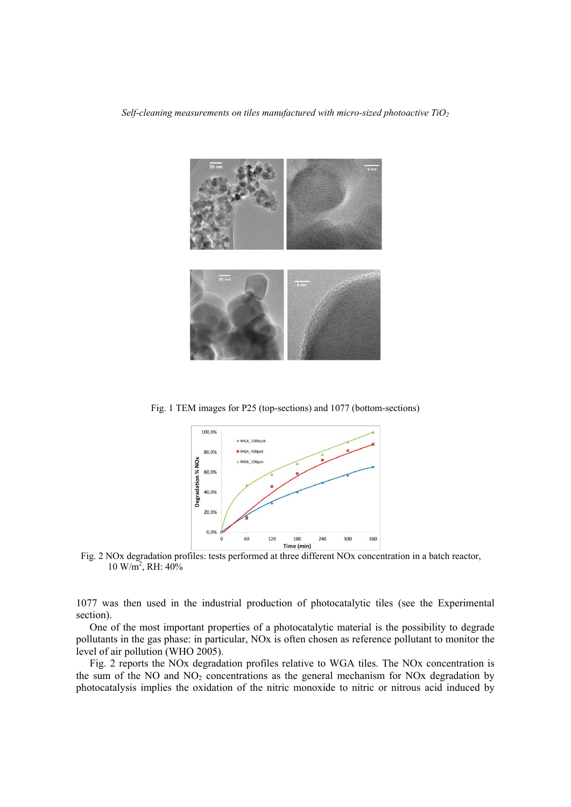*Self-cleaning measurements on tiles manufactured with micro-sized photoactive TiO<sub>2</sub>* 



Fig. 1 TEM images for P25 (top-sections) and 1077 (bottom-sections)



Fig. 2 NOx degradation profiles: tests performed at three different NOx concentration in a batch reactor, 10 W/m2 , RH: 40%

1077 was then used in the industrial production of photocatalytic tiles (see the Experimental section).

One of the most important properties of a photocatalytic material is the possibility to degrade pollutants in the gas phase: in particular, NOx is often chosen as reference pollutant to monitor the level of air pollution (WHO 2005).

Fig. 2 reports the NOx degradation profiles relative to WGA tiles. The NOx concentration is the sum of the NO and  $NO<sub>2</sub>$  concentrations as the general mechanism for NOx degradation by photocatalysis implies the oxidation of the nitric monoxide to nitric or nitrous acid induced by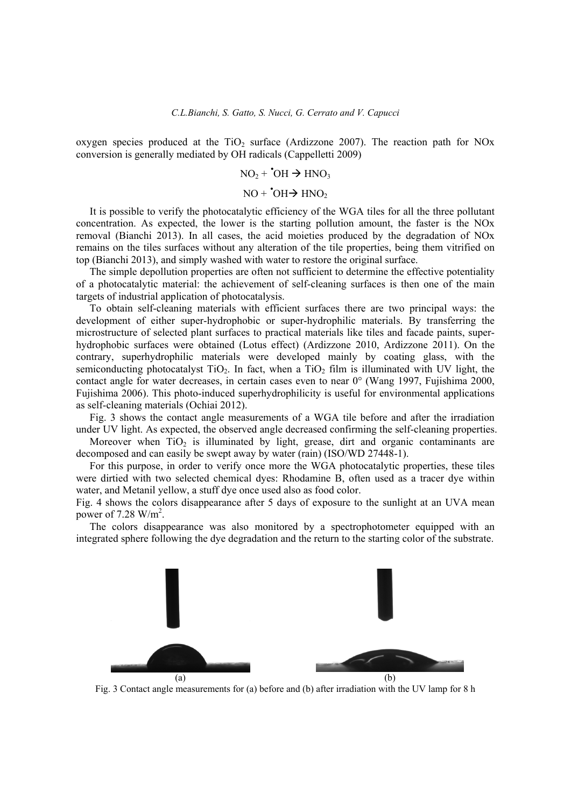oxygen species produced at the  $TiO<sub>2</sub>$  surface (Ardizzone 2007). The reaction path for NOx conversion is generally mediated by OH radicals (Cappelletti 2009)

$$
NO_2 + 'OH \rightarrow HNO_3
$$

$$
NO + \text{^·}OH \rightarrow HNO_2
$$

It is possible to verify the photocatalytic efficiency of the WGA tiles for all the three pollutant concentration. As expected, the lower is the starting pollution amount, the faster is the NOx removal (Bianchi 2013). In all cases, the acid moieties produced by the degradation of NOx remains on the tiles surfaces without any alteration of the tile properties, being them vitrified on top (Bianchi 2013), and simply washed with water to restore the original surface.

The simple depollution properties are often not sufficient to determine the effective potentiality of a photocatalytic material: the achievement of self-cleaning surfaces is then one of the main targets of industrial application of photocatalysis.

To obtain self-cleaning materials with efficient surfaces there are two principal ways: the development of either super-hydrophobic or super-hydrophilic materials. By transferring the microstructure of selected plant surfaces to practical materials like tiles and facade paints, superhydrophobic surfaces were obtained (Lotus effect) (Ardizzone 2010, Ardizzone 2011). On the contrary, superhydrophilic materials were developed mainly by coating glass, with the semiconducting photocatalyst  $TiO<sub>2</sub>$ . In fact, when a  $TiO<sub>2</sub>$  film is illuminated with UV light, the contact angle for water decreases, in certain cases even to near 0° (Wang 1997, Fujishima 2000, Fujishima 2006). This photo-induced superhydrophilicity is useful for environmental applications as self-cleaning materials (Ochiai 2012).

Fig. 3 shows the contact angle measurements of a WGA tile before and after the irradiation under UV light. As expected, the observed angle decreased confirming the self-cleaning properties.

Moreover when  $TiO<sub>2</sub>$  is illuminated by light, grease, dirt and organic contaminants are decomposed and can easily be swept away by water (rain) (ISO/WD 27448-1).

For this purpose, in order to verify once more the WGA photocatalytic properties, these tiles were dirtied with two selected chemical dyes: Rhodamine B, often used as a tracer dye within water, and Metanil yellow, a stuff dye once used also as food color.

Fig. 4 shows the colors disappearance after 5 days of exposure to the sunlight at an UVA mean power of  $7.28 \text{ W/m}^2$ .

The colors disappearance was also monitored by a spectrophotometer equipped with an integrated sphere following the dye degradation and the return to the starting color of the substrate.



Fig. 3 Contact angle measurements for (a) before and (b) after irradiation with the UV lamp for 8 h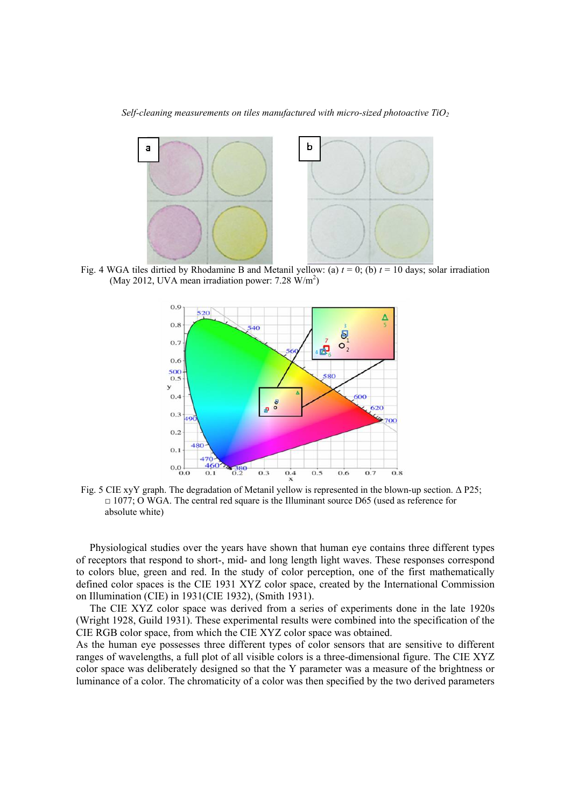*Self-cleaning measurements on tiles manufactured with micro-sized photoactive TiO2*



Fig. 4 WGA tiles dirtied by Rhodamine B and Metanil yellow: (a)  $t = 0$ ; (b)  $t = 10$  days; solar irradiation (May 2012, UVA mean irradiation power:  $7.28 \text{ W/m}^2$ )



Fig. 5 CIE xyY graph. The degradation of Metanil yellow is represented in the blown-up section. Δ P25;  $\Box$  1077; O WGA. The central red square is the Illuminant source D65 (used as reference for absolute white)

Physiological studies over the years have shown that human eye contains three different types of receptors that respond to short-, mid- and long length light waves. These responses correspond to colors blue, green and red. In the study of color perception, one of the first mathematically defined color spaces is the CIE 1931 XYZ color space, created by the International Commission on Illumination (CIE) in 1931(CIE 1932), (Smith 1931).

The CIE XYZ color space was derived from a series of experiments done in the late 1920s (Wright 1928, Guild 1931). These experimental results were combined into the specification of the CIE RGB color space, from which the CIE XYZ color space was obtained.

As the human eye possesses three different types of color sensors that are sensitive to different ranges of wavelengths, a full plot of all visible colors is a three-dimensional figure. The CIE XYZ color space was deliberately designed so that the Y parameter was a measure of the brightness or luminance of a color. The chromaticity of a color was then specified by the two derived parameters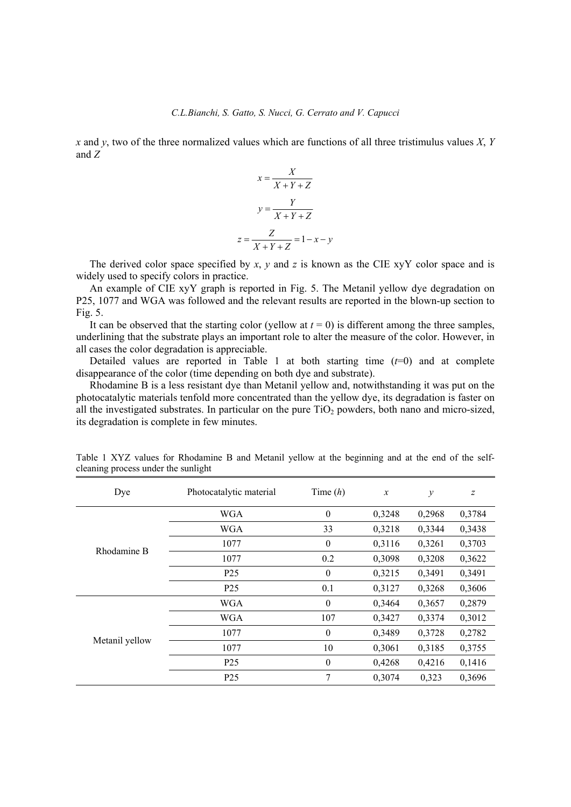*x* and *y*, two of the three normalized values which are functions of all three tristimulus values *X*, *Y* and *Z*

$$
x = \frac{X}{X+Y+Z}
$$

$$
y = \frac{Y}{X+Y+Z}
$$

$$
z = \frac{Z}{X+Y+Z} = 1-x-y
$$

The derived color space specified by *x*, *y* and *z* is known as the CIE xyY color space and is widely used to specify colors in practice.

An example of CIE xyY graph is reported in Fig. 5. The Metanil yellow dye degradation on P25, 1077 and WGA was followed and the relevant results are reported in the blown-up section to Fig. 5.

It can be observed that the starting color (yellow at  $t = 0$ ) is different among the three samples, underlining that the substrate plays an important role to alter the measure of the color. However, in all cases the color degradation is appreciable.

Detailed values are reported in Table 1 at both starting time  $(t=0)$  and at complete disappearance of the color (time depending on both dye and substrate).

Rhodamine B is a less resistant dye than Metanil yellow and, notwithstanding it was put on the photocatalytic materials tenfold more concentrated than the yellow dye, its degradation is faster on all the investigated substrates. In particular on the pure  $TiO<sub>2</sub>$  powders, both nano and micro-sized, its degradation is complete in few minutes.

| Dye            | Photocatalytic material | Time $(h)$       | $\boldsymbol{x}$ | $\mathcal{Y}$ | $\overline{z}$ |
|----------------|-------------------------|------------------|------------------|---------------|----------------|
| Rhodamine B    | <b>WGA</b>              | $\boldsymbol{0}$ | 0,3248           | 0,2968        | 0,3784         |
|                | <b>WGA</b>              | 33               | 0,3218           | 0,3344        | 0,3438         |
|                | 1077                    | $\mathbf{0}$     | 0,3116           | 0,3261        | 0,3703         |
|                | 1077                    | 0.2              | 0,3098           | 0,3208        | 0,3622         |
|                | P <sub>25</sub>         | $\boldsymbol{0}$ | 0,3215           | 0,3491        | 0,3491         |
|                | P <sub>25</sub>         | 0.1              | 0,3127           | 0,3268        | 0,3606         |
| Metanil yellow | <b>WGA</b>              | $\theta$         | 0,3464           | 0,3657        | 0,2879         |
|                | <b>WGA</b>              | 107              | 0,3427           | 0,3374        | 0,3012         |
|                | 1077                    | $\theta$         | 0,3489           | 0,3728        | 0,2782         |
|                | 1077                    | 10               | 0,3061           | 0,3185        | 0,3755         |
|                | P <sub>25</sub>         | $\boldsymbol{0}$ | 0,4268           | 0,4216        | 0,1416         |
|                | P <sub>25</sub>         | 7                | 0,3074           | 0,323         | 0,3696         |

Table 1 XYZ values for Rhodamine B and Metanil yellow at the beginning and at the end of the selfcleaning process under the sunlight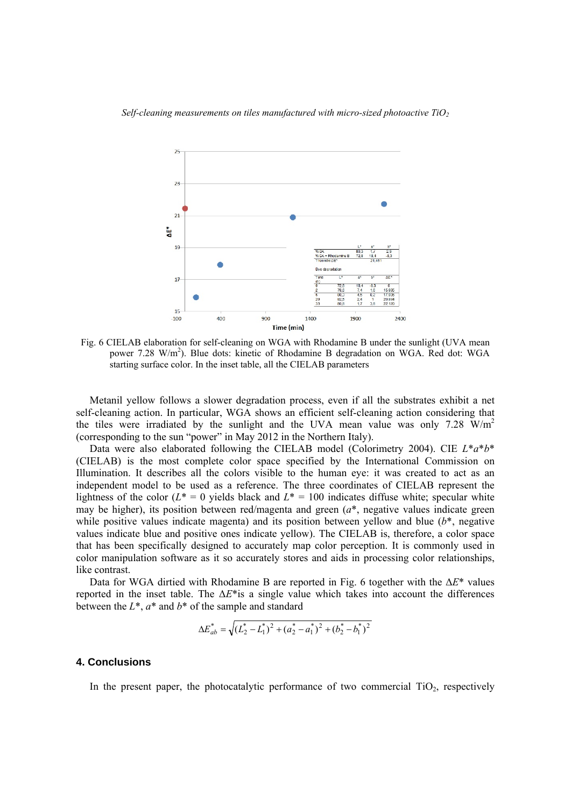

Fig. 6 CIELAB elaboration for self-cleaning on WGA with Rhodamine B under the sunlight (UVA mean power 7.28 W/m<sup>2</sup>). Blue dots: kinetic of Rhodamine B degradation on WGA. Red dot: WGA starting surface color. In the inset table, all the CIELAB parameters

Metanil yellow follows a slower degradation process, even if all the substrates exhibit a net self-cleaning action. In particular, WGA shows an efficient self-cleaning action considering that the tiles were irradiated by the sunlight and the UVA mean value was only 7.28  $W/m<sup>2</sup>$ (corresponding to the sun "power" in May 2012 in the Northern Italy).

Data were also elaborated following the CIELAB model (Colorimetry 2004). CIE *L*\**a*\**b*\* (CIELAB) is the most complete color space specified by the International Commission on Illumination. It describes all the colors visible to the human eye: it was created to act as an independent model to be used as a reference. The three coordinates of CIELAB represent the lightness of the color  $(L^* = 0$  yields black and  $L^* = 100$  indicates diffuse white; specular white may be higher), its position between red/magenta and green (*a*\*, negative values indicate green while positive values indicate magenta) and its position between yellow and blue (*b*\*, negative values indicate blue and positive ones indicate yellow). The CIELAB is, therefore, a color space that has been specifically designed to accurately map color perception. It is commonly used in color manipulation software as it so accurately stores and aids in processing color relationships, like contrast.

Data for WGA dirtied with Rhodamine B are reported in Fig. 6 together with the Δ*E*\* values reported in the inset table. The  $\Delta E^*$  is a single value which takes into account the differences between the *L*\*, *a*\* and *b*\* of the sample and standard

$$
\Delta E_{ab}^* = \sqrt{\left(L_2^* - L_1^*\right)^2 + \left(a_2^* - a_1^*\right)^2 + \left(b_2^* - b_1^*\right)^2}
$$

# **4. Conclusions**

In the present paper, the photocatalytic performance of two commercial  $TiO<sub>2</sub>$ , respectively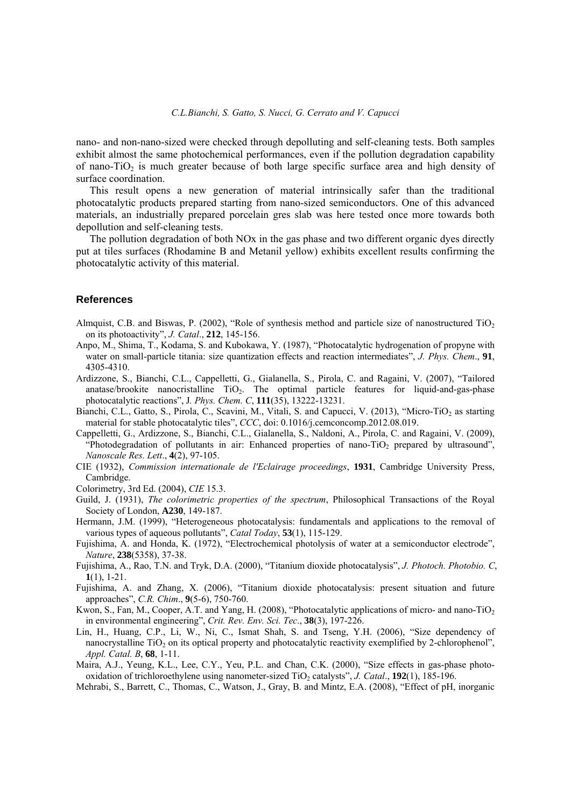nano- and non-nano-sized were checked through depolluting and self-cleaning tests. Both samples exhibit almost the same photochemical performances, even if the pollution degradation capability of nano-TiO<sub>2</sub> is much greater because of both large specific surface area and high density of surface coordination.

This result opens a new generation of material intrinsically safer than the traditional photocatalytic products prepared starting from nano-sized semiconductors. One of this advanced materials, an industrially prepared porcelain gres slab was here tested once more towards both depollution and self-cleaning tests.

The pollution degradation of both NOx in the gas phase and two different organic dyes directly put at tiles surfaces (Rhodamine B and Metanil yellow) exhibits excellent results confirming the photocatalytic activity of this material.

# **References**

- Almquist, C.B. and Biswas, P. (2002), "Role of synthesis method and particle size of nanostructured TiO2 on its photoactivity", *J. Catal*., **212**, 145-156.
- Anpo, M., Shima, T., Kodama, S. and Kubokawa, Y. (1987), "Photocatalytic hydrogenation of propyne with water on small-particle titania: size quantization effects and reaction intermediates", *J. Phys. Chem*., **91**, 4305-4310.
- Ardizzone, S., Bianchi, C.L., Cappelletti, G., Gialanella, S., Pirola, C. and Ragaini, V. (2007), "Tailored anatase/brookite nanocristalline  $TiO<sub>2</sub>$ . The optimal particle features for liquid-and-gas-phase photocatalytic reactions", J*. Phys. Chem. C*, **111**(35), 13222-13231.
- Bianchi, C.L., Gatto, S., Pirola, C., Scavini, M., Vitali, S. and Capucci, V. (2013), "Micro-TiO<sub>2</sub> as starting material for stable photocatalytic tiles", *CCC*, doi: 0.1016/j.cemconcomp.2012.08.019.
- Cappelletti, G., Ardizzone, S., Bianchi, C.L., Gialanella, S., Naldoni, A., Pirola, C. and Ragaini, V. (2009), "Photodegradation of pollutants in air: Enhanced properties of nano-TiO<sub>2</sub> prepared by ultrasound", *Nanoscale Res. Lett*., **4**(2), 97-105.
- CIE (1932), *Commission internationale de l'Eclairage proceedings*, **1931**, Cambridge University Press, Cambridge.
- Colorimetry, 3rd Ed. (2004), *CIE* 15.3.
- Guild, J. (1931), *The colorimetric properties of the spectrum*, Philosophical Transactions of the Royal Society of London, **A230**, 149-187.
- Hermann, J.M. (1999), "Heterogeneous photocatalysis: fundamentals and applications to the removal of various types of aqueous pollutants", *Catal Today*, **53**(1), 115-129.
- Fujishima, A. and Honda, K. (1972), "Electrochemical photolysis of water at a semiconductor electrode", *Nature*, **238**(5358), 37-38.
- Fujishima, A., Rao, T.N. and Tryk, D.A. (2000), "Titanium dioxide photocatalysis", *J. Photoch. Photobio. C*, **1**(1), 1-21.
- Fujishima, A. and Zhang, X. (2006), "Titanium dioxide photocatalysis: present situation and future approaches", *C.R. Chim*., **9**(5-6), 750-760.
- Kwon, S., Fan, M., Cooper, A.T. and Yang, H. (2008), "Photocatalytic applications of micro- and nano-TiO<sub>2</sub> in environmental engineering", *Crit. Rev. Env. Sci. Tec*., **38**(3), 197-226.
- Lin, H., Huang, C.P., Li, W., Ni, C., Ismat Shah, S. and Tseng, Y.H. (2006), "Size dependency of nanocrystalline  $TiO<sub>2</sub>$  on its optical property and photocatalytic reactivity exemplified by 2-chlorophenol", *Appl. Catal. B*, **68**, 1-11.
- Maira, A.J., Yeung, K.L., Lee, C.Y., Yeu, P.L. and Chan, C.K. (2000), "Size effects in gas-phase photooxidation of trichloroethylene using nanometer-sized TiO<sub>2</sub> catalysts", *J. Catal.*, **192**(1), 185-196.
- Mehrabi, S., Barrett, C., Thomas, C., Watson, J., Gray, B. and Mintz, E.A. (2008), "Effect of pH, inorganic